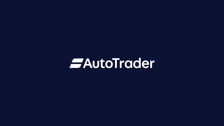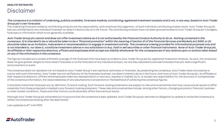#### ANALYST ESTIMATES

# Disclaimer

### This consensus is a collation of underlying, publicly available, forecasts made by contributing registered investment analysts and is not, in any way, based on Auto Trader Group plc's own forecasts.

The underlying forecasts made by contributing analysts are the responsibility, and constitute the judgement, of each individual contributing analyst alone. Auto Trader Group plc has not commented on any individual forecast nor does it intend to do so in the future. The contributing analysts have not been granted access to Auto Trader Group plc's budgets, forecasts or information which is not generally available.

Auto Trader Group plc cannot and does not offer investment advice as it is not authorised by the Financial Conduct Authority to do so. Nothing contained in this consensus: (i) is intended to be or should be taken to be a "financial promotion" within the meaning of section 21 of the Financial Services and Markets Act 2000, or (ii) should be taken as an invitation, inducement or recommendation to engage in investment activity. This consensus is being provided for informational purposes only and is not intended to, nor does it, constitute investment advice or any solicitation to buy, hold or sell securities or other financial instruments. None of Auto Trader Group plc, its affiliates or their respective directors, officers and employees shall accept any liability whatsoever for the consequences of any reliance upon or actions taken based on any of the information in this consensus.

The figures included are a simple arithmetic average of the forecasts that have been provided to Auto Trader Group plc by registered investment analysts. As such, the consensus does not give greater weight to more recent forecasts or to the forecasts of any individual analyst, nor are they adjusted to exclude forecasts that pre-date a significant announcement or event.

The consensus does not represent nor is it based on Auto Trader Group's own opinions, estimates or forecasts. By presenting the consensus, Auto Trader does not endorse or concur with such information. Auto Trader has not verified any of the forecasts received, nor does it intend to do so in the future, and none of Auto Trader Group plc, its affiliates or their respective directors, officers and employees make any representation or warranty, express or implied, as to, or accept any responsibility for, the accuracy or completeness of the consensus information, the reasonableness of any assumptions or projections or the likelihood of achieving the consensus figures.

It should be noted that forecasts are, by definition, forward-looking. Such forward-looking statements are subject to risks and uncertainties that may cause actual results to differ materially from those projected or implied in any forward-looking statement. These risks and uncertainties include, among other factors, changing economic, financial, business or other market conditions. These and other factors could adversely affect the eventual results.

Although Auto Trader Group plc will endeavour to procure that the consensus is kept updated, Auto Trader Group plc assumes no obligation to update or revise the consensus to reflect circumstances existing after the date hereof.

Last updated on 8<sup>th</sup> June 2022.

### *EAutoTrader*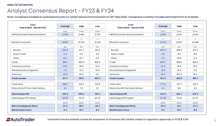## Analyst Consensus Report – FY23 & FY24

Note: Consensus is based on publications post our latest results announcement on 26th May 2022. Consensus currently includes estimates from 16 analysts.

| <b>FY23</b>                         |         |                |                | <b>FY24</b>                         |         |        |        |
|-------------------------------------|---------|----------------|----------------|-------------------------------------|---------|--------|--------|
| Year Ended - March 2023             | Average | High           | Low            | Year Ended - March 2024             | Average | High   | Low    |
|                                     | £ pcm   | £ pcm          | £ pcm          |                                     | £ pcm   | £ pcm  | £ pcm  |
| ARPR (£/retailer forecourt/month)   | 2,394   | 2,409          | 2,370          | ARPR (£/retailer forecourt/month)   | 2,609   | 2,661  | 2,542  |
|                                     | #       | #              | #              |                                     | #       | #      | #      |
| <b>Retailer Forecourts</b>          | 13,807  | 13,936         | 13,603         | <b>Retailer Forecourts</b>          | 13,702  | 13,897 | 13,548 |
|                                     | £m      | E <sub>m</sub> | E <sub>m</sub> |                                     | £m      | £m     | £m     |
| Retailer                            | 396.8   | 401.7          | 391.2          | Retailer                            | 429.3   | 439.3  | 417.5  |
| <b>Home Trader</b>                  | 9.4     | 11.0           | 8.8            | <b>Home Trader</b>                  | 9.8     | 12.1   | 8.8    |
| Other                               | 10.5    | 19.7           | 8.4            | Other                               | 11.3    | 20.8   | 8.4    |
| Trade                               | 416.2   | 420.0          | 409.9          | Trade                               | 449.7   | 458.6  | 438.3  |
| Consumer services                   | 34.9    | 38.4           | 32.6           | Consumer services                   | 36.4    | 39.5   | 33.2   |
| <b>Manufacturers &amp; Agencies</b> | 11.3    | 12.2           | 10.0           | <b>Manufacturers &amp; Agencies</b> | 12.8    | 16.4   | 11.0   |
| Autorama                            | 40.8    | 62.3           | 21.1           | Autorama                            | 65.6    | 107.6  | 31.6   |
| <b>Total revenue</b>                | 477.7   | 519.5          | 453.7          | <b>Total revenue</b>                | 525.2   | 610.8  | 491.7  |
| Total costs                         | 158.0   | 210.3          | 132.8          | Total costs                         | 177.8   | 267.1  | 139.3  |
| Share of profit from Joint Venture  | 4.1     | 7.0            | 3.1            | Share of profit from Joint Venture  | 5.1     | 8.0    | 3.5    |
| <b>Operating profit</b>             | 323.9   | 329.3          | 312.5          | <b>Operating profit</b>             | 352.6   | 362.7  | 339.2  |
| Operating profit margin             | 68.0%   | 72.3%          | 60.2%          | Operating profit margin             | 67.4%   | 73.4%  | 56.9%  |
|                                     | pence   | pence          | pence          |                                     | pence   | pence  | pence  |
| <b>Basic Earnings per Share</b>     | 27.6    | 28.7           | 26.7           | <b>Basic Earnings per Share</b>     | 29.0    | 32.1   | 27.2   |
| <b>Dividend per share</b>           | 9.2     | 10.7           | 8.5            | <b>Dividend per share</b>           | 9.6     | 10.7   | 8.6    |